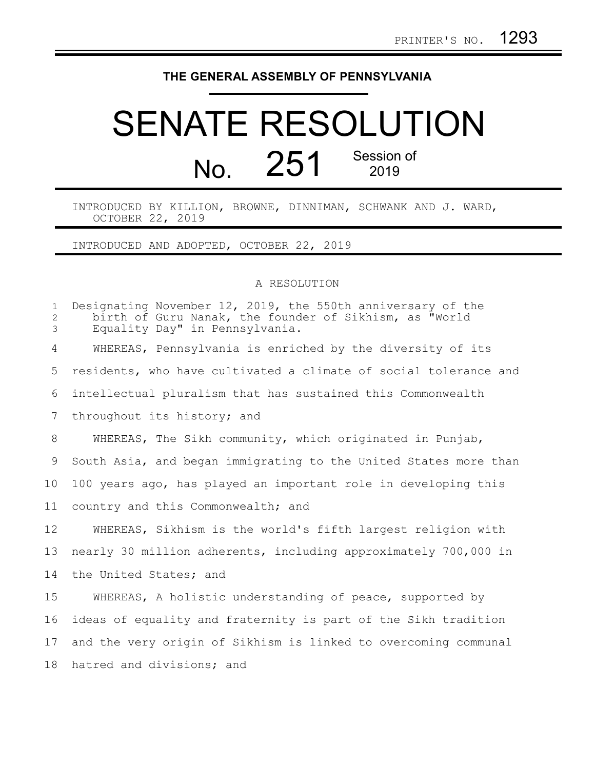## **THE GENERAL ASSEMBLY OF PENNSYLVANIA**

## SENATE RESOLUTION No. 251 Session of 2019

INTRODUCED BY KILLION, BROWNE, DINNIMAN, SCHWANK AND J. WARD, OCTOBER 22, 2019

INTRODUCED AND ADOPTED, OCTOBER 22, 2019

## A RESOLUTION

| $\mathbf 1$<br>$\mathbf{2}$<br>3 | Designating November 12, 2019, the 550th anniversary of the<br>birth of Guru Nanak, the founder of Sikhism, as "World<br>Equality Day" in Pennsylvania. |
|----------------------------------|---------------------------------------------------------------------------------------------------------------------------------------------------------|
| 4                                | WHEREAS, Pennsylvania is enriched by the diversity of its                                                                                               |
| 5                                | residents, who have cultivated a climate of social tolerance and                                                                                        |
| 6                                | intellectual pluralism that has sustained this Commonwealth                                                                                             |
| 7                                | throughout its history; and                                                                                                                             |
| 8                                | WHEREAS, The Sikh community, which originated in Punjab,                                                                                                |
| 9                                | South Asia, and began immigrating to the United States more than                                                                                        |
| 10 <sub>o</sub>                  | 100 years ago, has played an important role in developing this                                                                                          |
| 11                               | country and this Commonwealth; and                                                                                                                      |
| 12                               | WHEREAS, Sikhism is the world's fifth largest religion with                                                                                             |
| 13                               | nearly 30 million adherents, including approximately 700,000 in                                                                                         |
| 14                               | the United States; and                                                                                                                                  |
| 15                               | WHEREAS, A holistic understanding of peace, supported by                                                                                                |
| 16                               | ideas of equality and fraternity is part of the Sikh tradition                                                                                          |
| 17                               | and the very origin of Sikhism is linked to overcoming communal                                                                                         |
| 18                               | hatred and divisions; and                                                                                                                               |